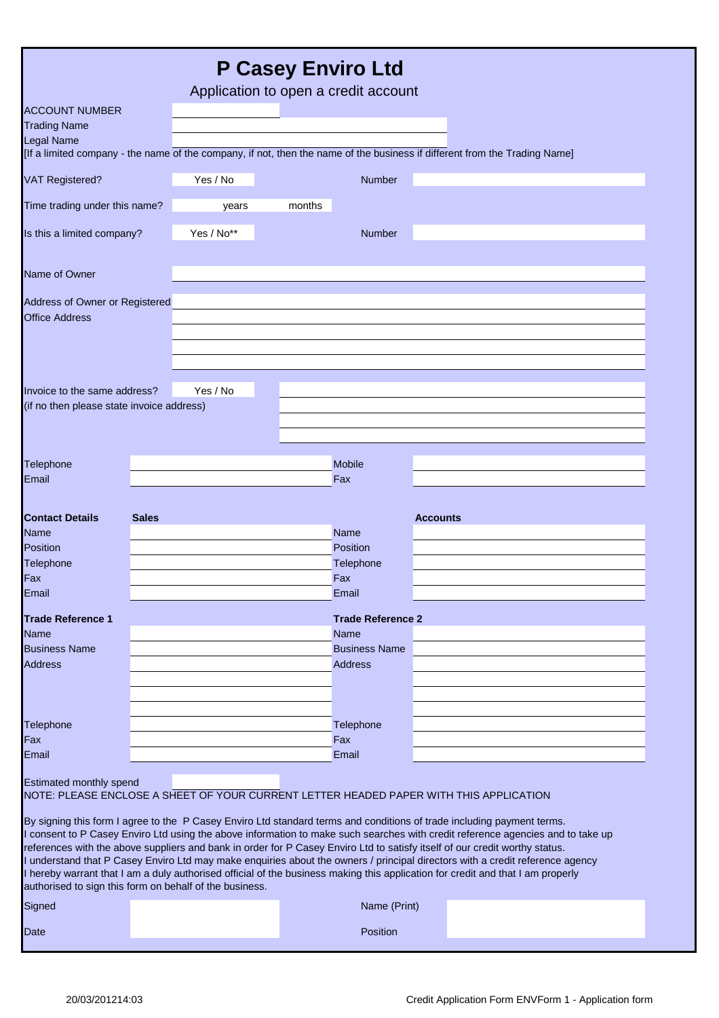|                                                                           |              | Application to open a credit account                                                   |        | <b>P Casey Enviro Ltd</b>              |                 |                                                                                                                                                                                                                                                                                                                                                                                                                                                                                                                                                                                                                                                              |
|---------------------------------------------------------------------------|--------------|----------------------------------------------------------------------------------------|--------|----------------------------------------|-----------------|--------------------------------------------------------------------------------------------------------------------------------------------------------------------------------------------------------------------------------------------------------------------------------------------------------------------------------------------------------------------------------------------------------------------------------------------------------------------------------------------------------------------------------------------------------------------------------------------------------------------------------------------------------------|
| <b>ACCOUNT NUMBER</b>                                                     |              |                                                                                        |        |                                        |                 |                                                                                                                                                                                                                                                                                                                                                                                                                                                                                                                                                                                                                                                              |
| <b>Trading Name</b>                                                       |              |                                                                                        |        |                                        |                 |                                                                                                                                                                                                                                                                                                                                                                                                                                                                                                                                                                                                                                                              |
| <b>Legal Name</b>                                                         |              |                                                                                        |        |                                        |                 | [If a limited company - the name of the company, if not, then the name of the business if different from the Trading Name]                                                                                                                                                                                                                                                                                                                                                                                                                                                                                                                                   |
| <b>VAT Registered?</b>                                                    |              | Yes / No                                                                               |        | Number                                 |                 |                                                                                                                                                                                                                                                                                                                                                                                                                                                                                                                                                                                                                                                              |
| Time trading under this name?                                             |              | years                                                                                  | months |                                        |                 |                                                                                                                                                                                                                                                                                                                                                                                                                                                                                                                                                                                                                                                              |
| Is this a limited company?                                                |              | Yes / No**                                                                             |        | <b>Number</b>                          |                 |                                                                                                                                                                                                                                                                                                                                                                                                                                                                                                                                                                                                                                                              |
| Name of Owner                                                             |              |                                                                                        |        |                                        |                 |                                                                                                                                                                                                                                                                                                                                                                                                                                                                                                                                                                                                                                                              |
| Address of Owner or Registered<br><b>Office Address</b>                   |              |                                                                                        |        |                                        |                 |                                                                                                                                                                                                                                                                                                                                                                                                                                                                                                                                                                                                                                                              |
| Invoice to the same address?<br>(if no then please state invoice address) |              | Yes / No                                                                               |        |                                        |                 |                                                                                                                                                                                                                                                                                                                                                                                                                                                                                                                                                                                                                                                              |
| <b>Telephone</b>                                                          |              |                                                                                        |        | <b>Mobile</b>                          |                 |                                                                                                                                                                                                                                                                                                                                                                                                                                                                                                                                                                                                                                                              |
| Email                                                                     |              |                                                                                        |        | Fax                                    |                 |                                                                                                                                                                                                                                                                                                                                                                                                                                                                                                                                                                                                                                                              |
| <b>Contact Details</b>                                                    | <b>Sales</b> |                                                                                        |        |                                        | <b>Accounts</b> |                                                                                                                                                                                                                                                                                                                                                                                                                                                                                                                                                                                                                                                              |
| Name                                                                      |              |                                                                                        |        | <b>Name</b>                            |                 |                                                                                                                                                                                                                                                                                                                                                                                                                                                                                                                                                                                                                                                              |
| Position                                                                  |              |                                                                                        |        | Position                               |                 |                                                                                                                                                                                                                                                                                                                                                                                                                                                                                                                                                                                                                                                              |
| Telephone<br>Fax                                                          |              |                                                                                        |        | Telephone<br>Fax                       |                 |                                                                                                                                                                                                                                                                                                                                                                                                                                                                                                                                                                                                                                                              |
| Email                                                                     |              |                                                                                        |        | Email                                  |                 |                                                                                                                                                                                                                                                                                                                                                                                                                                                                                                                                                                                                                                                              |
| <b>Trade Reference 1</b>                                                  |              |                                                                                        |        | <b>Trade Reference 2</b>               |                 |                                                                                                                                                                                                                                                                                                                                                                                                                                                                                                                                                                                                                                                              |
| Name                                                                      |              |                                                                                        |        | <b>Name</b>                            |                 |                                                                                                                                                                                                                                                                                                                                                                                                                                                                                                                                                                                                                                                              |
| <b>Business Name</b><br><b>Address</b>                                    |              |                                                                                        |        | <b>Business Name</b><br><b>Address</b> |                 |                                                                                                                                                                                                                                                                                                                                                                                                                                                                                                                                                                                                                                                              |
|                                                                           |              |                                                                                        |        |                                        |                 |                                                                                                                                                                                                                                                                                                                                                                                                                                                                                                                                                                                                                                                              |
|                                                                           |              |                                                                                        |        |                                        |                 |                                                                                                                                                                                                                                                                                                                                                                                                                                                                                                                                                                                                                                                              |
| Telephone                                                                 |              |                                                                                        |        | Telephone                              |                 |                                                                                                                                                                                                                                                                                                                                                                                                                                                                                                                                                                                                                                                              |
| Fax<br>Email                                                              |              |                                                                                        |        | Fax<br>Email                           |                 |                                                                                                                                                                                                                                                                                                                                                                                                                                                                                                                                                                                                                                                              |
| Estimated monthly spend                                                   |              | NOTE: PLEASE ENCLOSE A SHEET OF YOUR CURRENT LETTER HEADED PAPER WITH THIS APPLICATION |        |                                        |                 |                                                                                                                                                                                                                                                                                                                                                                                                                                                                                                                                                                                                                                                              |
| authorised to sign this form on behalf of the business.                   |              |                                                                                        |        |                                        |                 | By signing this form I agree to the P Casey Enviro Ltd standard terms and conditions of trade including payment terms.<br>I consent to P Casey Enviro Ltd using the above information to make such searches with credit reference agencies and to take up<br>references with the above suppliers and bank in order for P Casey Enviro Ltd to satisfy itself of our credit worthy status.<br>I understand that P Casey Enviro Ltd may make enquiries about the owners / principal directors with a credit reference agency<br>I hereby warrant that I am a duly authorised official of the business making this application for credit and that I am properly |
| Signed                                                                    |              |                                                                                        |        | Name (Print)                           |                 |                                                                                                                                                                                                                                                                                                                                                                                                                                                                                                                                                                                                                                                              |
| Date                                                                      |              |                                                                                        |        | Position                               |                 |                                                                                                                                                                                                                                                                                                                                                                                                                                                                                                                                                                                                                                                              |